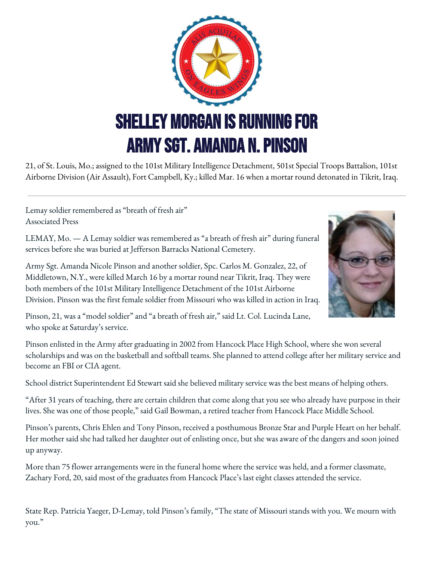

21, of St. Louis, Mo.; assigned to the 101st Military Intelligence Detachment, 501st Special Troops Battalion, 101st Airborne Division (Air Assault), Fort Campbell, Ky.; killed Mar. 16 when a mortar round detonated in Tikrit, Iraq.

Lemay soldier remembered as "breath of fresh air" Associated Press

LEMAY, Mo. — A Lemay soldier was remembered as "a breath of fresh air" during funeral services before she was buried at Jefferson Barracks National Cemetery.

Army Sgt. Amanda Nicole Pinson and another soldier, Spc. Carlos M. Gonzalez, 22, of Middletown, N.Y., were killed March 16 by a mortar round near Tikrit, Iraq. They were both members of the 101st Military Intelligence Detachment of the 101st Airborne Division. Pinson was the first female soldier from Missouri who was killed in action in Iraq.



Pinson, 21, was a "model soldier" and "a breath of fresh air," said Lt. Col. Lucinda Lane, who spoke at Saturday's service.

Pinson enlisted in the Army after graduating in 2002 from Hancock Place High School, where she won several scholarships and was on the basketball and softball teams. She planned to attend college after her military service and become an FBI or CIA agent.

School district Superintendent Ed Stewart said she believed military service was the best means of helping others.

"After 31 years of teaching, there are certain children that come along that you see who already have purpose in their lives. She was one of those people," said Gail Bowman, a retired teacher from Hancock Place Middle School.

Pinson's parents, Chris Ehlen and Tony Pinson, received a posthumous Bronze Star and Purple Heart on her behalf. Her mother said she had talked her daughter out of enlisting once, but she was aware of the dangers and soon joined up anyway.

More than 75 flower arrangements were in the funeral home where the service was held, and a former classmate, Zachary Ford, 20, said most of the graduates from Hancock Place's last eight classes attended the service.

State Rep. Patricia Yaeger, D-Lemay, told Pinson's family, "The state of Missouri stands with you. We mourn with you."